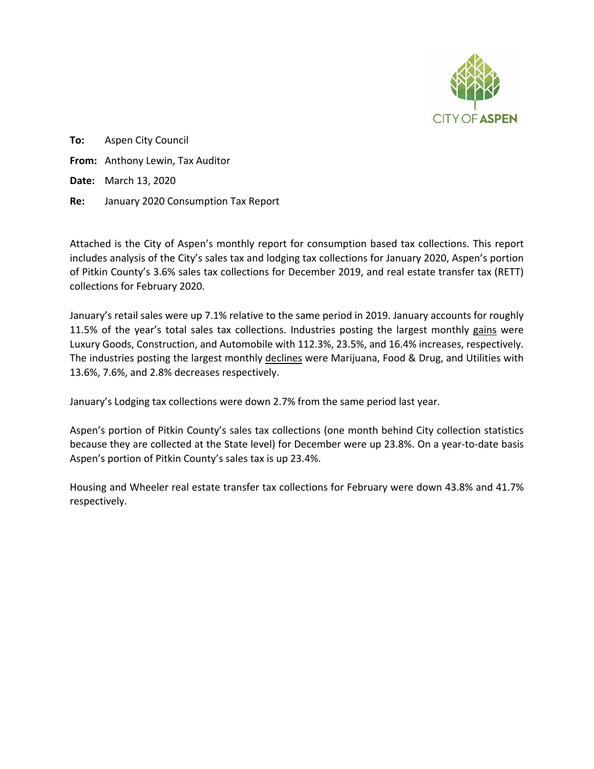

**To:** Aspen City Council **From:** Anthony Lewin, Tax Auditor **Date:** March 13, 2020 **Re:** January 2020 Consumption Tax Report

Attached is the City of Aspen's monthly report for consumption based tax collections. This report includes analysis of the City's sales tax and lodging tax collections for January 2020, Aspen's portion of Pitkin County's 3.6% sales tax collections for December 2019, and real estate transfer tax (RETT) collections for February 2020.

January's retail sales were up 7.1% relative to the same period in 2019. January accounts for roughly 11.5% of the year's total sales tax collections. Industries posting the largest monthly gains were Luxury Goods, Construction, and Automobile with 112.3%, 23.5%, and 16.4% increases, respectively. The industries posting the largest monthly declines were Marijuana, Food & Drug, and Utilities with 13.6%, 7.6%, and 2.8% decreases respectively.

January's Lodging tax collections were down 2.7% from the same period last year.

Aspen's portion of Pitkin County's sales tax collections (one month behind City collection statistics because they are collected at the State level) for December were up 23.8%. On a year-to-date basis Aspen's portion of Pitkin County's sales tax is up 23.4%.

Housing and Wheeler real estate transfer tax collections for February were down 43.8% and 41.7% respectively.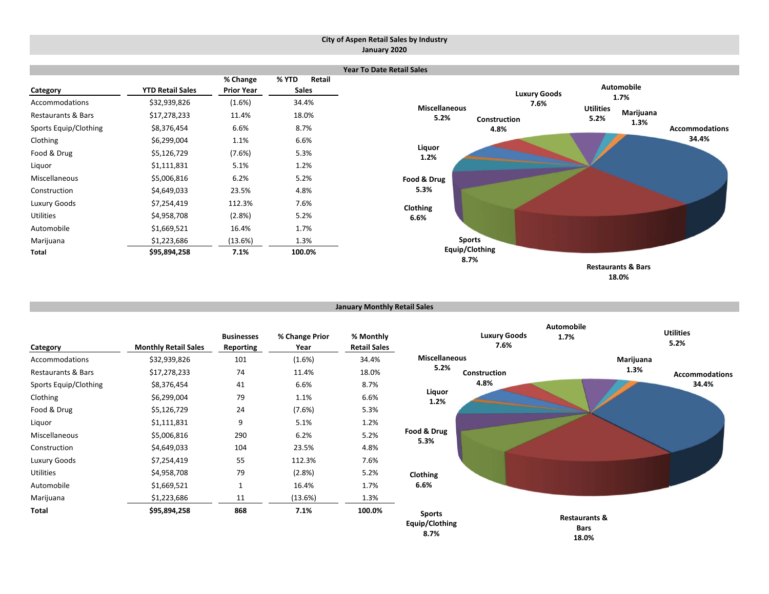#### **City of Aspen Retail Sales by Industry January 2020**



**January Monthly Retail Sales**

| Category              | <b>Monthly Retail Sales</b> | <b>Businesses</b><br><b>Reporting</b> | % Change Prior<br>Year | % Monthly<br><b>Retail Sales</b> |                                         | <b>Luxury Goods</b><br>7.6% | Automobile<br>1.7%                               |           | <b>Utilities</b><br>5.2% |
|-----------------------|-----------------------------|---------------------------------------|------------------------|----------------------------------|-----------------------------------------|-----------------------------|--------------------------------------------------|-----------|--------------------------|
| Accommodations        | \$32,939,826                | 101                                   | (1.6%)                 | 34.4%                            | Miscellaneous                           |                             |                                                  | Marijuana |                          |
| Restaurants & Bars    | \$17,278,233                | 74                                    | 11.4%                  | 18.0%                            | 5.2%                                    | Construction                |                                                  | 1.3%      | <b>Accommodations</b>    |
| Sports Equip/Clothing | \$8,376,454                 | 41                                    | 6.6%                   | 8.7%                             |                                         | 4.8%                        |                                                  |           | 34.4%                    |
| Clothing              | \$6,299,004                 | 79                                    | 1.1%                   | 6.6%                             | Liquor<br>1.2%                          |                             |                                                  |           |                          |
| Food & Drug           | \$5,126,729                 | 24                                    | (7.6%)                 | 5.3%                             |                                         |                             |                                                  |           |                          |
| Liquor                | \$1,111,831                 | 9                                     | 5.1%                   | 1.2%                             |                                         |                             |                                                  |           |                          |
| Miscellaneous         | \$5,006,816                 | 290                                   | 6.2%                   | 5.2%                             | Food & Drug                             |                             |                                                  |           |                          |
| Construction          | \$4,649,033                 | 104                                   | 23.5%                  | 4.8%                             | 5.3%                                    |                             |                                                  |           |                          |
| Luxury Goods          | \$7,254,419                 | 55                                    | 112.3%                 | 7.6%                             |                                         |                             |                                                  |           |                          |
| Utilities             | \$4,958,708                 | 79                                    | (2.8%)                 | 5.2%                             | Clothing                                |                             |                                                  |           |                          |
| Automobile            | \$1,669,521                 | $\mathbf{1}$                          | 16.4%                  | 1.7%                             | 6.6%                                    |                             |                                                  |           |                          |
| Marijuana             | \$1,223,686                 | 11                                    | (13.6%)                | 1.3%                             |                                         |                             |                                                  |           |                          |
| Total                 | \$95,894,258                | 868                                   | 7.1%                   | 100.0%                           | <b>Sports</b><br>Equip/Clothing<br>8.7% |                             | <b>Restaurants &amp;</b><br><b>Bars</b><br>18.0% |           |                          |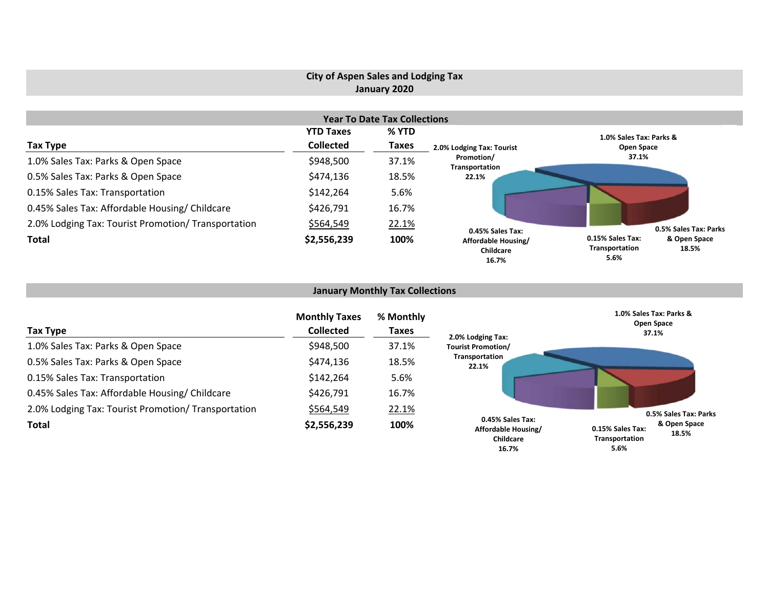## **City of Aspen Sales and Lodging Tax January 2020**

|                                                     |                  | <b>Year To Date Tax Collections</b> |                                           |                                                                     |
|-----------------------------------------------------|------------------|-------------------------------------|-------------------------------------------|---------------------------------------------------------------------|
|                                                     | <b>YTD Taxes</b> | % YTD                               |                                           | 1.0% Sales Tax: Parks &                                             |
| Tax Type                                            | <b>Collected</b> | <b>Taxes</b>                        | 2.0% Lodging Tax: Tourist                 | Open Space                                                          |
| 1.0% Sales Tax: Parks & Open Space                  | \$948,500        | 37.1%                               | Promotion/<br>Transportation              | 37.1%                                                               |
| 0.5% Sales Tax: Parks & Open Space                  | \$474,136        | 18.5%                               | 22.1%                                     |                                                                     |
| 0.15% Sales Tax: Transportation                     | \$142,264        | 5.6%                                |                                           |                                                                     |
| 0.45% Sales Tax: Affordable Housing/ Childcare      | \$426,791        | 16.7%                               |                                           |                                                                     |
| 2.0% Lodging Tax: Tourist Promotion/ Transportation | \$564,549        | 22.1%                               | 0.45% Sales Tax:                          | 0.5% Sales Tax: Parks                                               |
| <b>Total</b>                                        | \$2,556,239      | 100%                                | Affordable Housing/<br>Childcare<br>16.7% | 0.15% Sales Tax:<br>& Open Space<br>Transportation<br>18.5%<br>5.6% |

## **January Monthly Tax Collections**

| Tax Type                                            | <b>Monthly Taxes</b><br><b>Collected</b> | % Monthly<br><b>Taxes</b> | 2.0% Lodging Tax:                                             | 1.0% Sales Tax: Parks &<br>Open Space<br>37.1%                      |
|-----------------------------------------------------|------------------------------------------|---------------------------|---------------------------------------------------------------|---------------------------------------------------------------------|
| 1.0% Sales Tax: Parks & Open Space                  | \$948,500                                | 37.1%                     | <b>Tourist Promotion/</b>                                     |                                                                     |
| 0.5% Sales Tax: Parks & Open Space                  | \$474,136                                | 18.5%                     | Transportation<br>22.1%                                       |                                                                     |
| 0.15% Sales Tax: Transportation                     | \$142,264                                | 5.6%                      |                                                               |                                                                     |
| 0.45% Sales Tax: Affordable Housing/ Childcare      | \$426,791                                | 16.7%                     |                                                               |                                                                     |
| 2.0% Lodging Tax: Tourist Promotion/ Transportation | \$564,549                                | 22.1%                     |                                                               | 0.5% Sales Tax: Parks                                               |
| <b>Total</b>                                        | \$2,556,239                              | 100%                      | 0.45% Sales Tax:<br>Affordable Housing/<br>Childcare<br>16.7% | & Open Space<br>0.15% Sales Tax:<br>18.5%<br>Transportation<br>5.6% |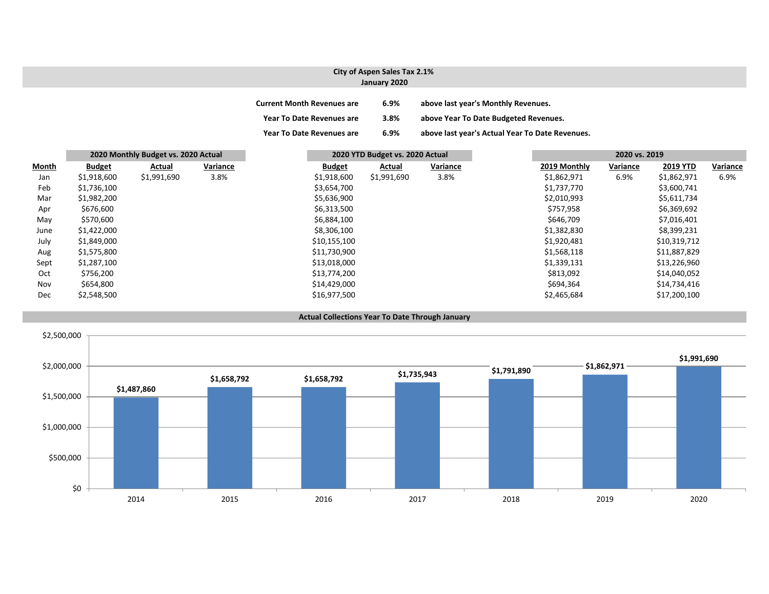#### **City of Aspen Sales Tax 2.1% January 2020**

| <b>Current Month Revenues are</b> | 6.9%    | above last year's Monthly Revenues.             |
|-----------------------------------|---------|-------------------------------------------------|
| <b>Year To Date Revenues are</b>  | $3.8\%$ | above Year To Date Budgeted Revenues.           |
| <b>Year To Date Revenues are</b>  | 6.9%    | above last year's Actual Year To Date Revenues. |

|       |               | 2020 Monthly Budget vs. 2020 Actual |          |               | 2020 YTD Budget vs. 2020 Actual |          | 2020 vs. 2019 |          |                 |          |
|-------|---------------|-------------------------------------|----------|---------------|---------------------------------|----------|---------------|----------|-----------------|----------|
| Month | <b>Budget</b> | Actual                              | Variance | <b>Budget</b> | Actual                          | Variance | 2019 Monthly  | Variance | <b>2019 YTD</b> | Variance |
| Jan   | \$1,918,600   | \$1,991,690                         | 3.8%     | \$1,918,600   | \$1,991,690                     | 3.8%     | \$1,862,971   | 6.9%     | \$1,862,971     | 6.9%     |
| Feb   | \$1,736,100   |                                     |          | \$3,654,700   |                                 |          | \$1,737,770   |          | \$3,600,741     |          |
| Mar   | \$1,982,200   |                                     |          | \$5,636,900   |                                 |          | \$2,010,993   |          | \$5,611,734     |          |
| Apr   | \$676,600     |                                     |          | \$6,313,500   |                                 |          | \$757,958     |          | \$6,369,692     |          |
| May   | \$570,600     |                                     |          | \$6,884,100   |                                 |          | \$646,709     |          | \$7,016,401     |          |
| June  | \$1,422,000   |                                     |          | \$8,306,100   |                                 |          | \$1,382,830   |          | \$8,399,231     |          |
| July  | \$1,849,000   |                                     |          | \$10,155,100  |                                 |          | \$1,920,481   |          | \$10,319,712    |          |
| Aug   | \$1,575,800   |                                     |          | \$11,730,900  |                                 |          | \$1,568,118   |          | \$11,887,829    |          |
| Sept  | \$1,287,100   |                                     |          | \$13,018,000  |                                 |          | \$1,339,131   |          | \$13,226,960    |          |
| Oct   | \$756,200     |                                     |          | \$13,774,200  |                                 |          | \$813,092     |          | \$14,040,052    |          |
| Nov   | \$654,800     |                                     |          | \$14,429,000  |                                 |          | \$694,364     |          | \$14,734,416    |          |
| Dec   | \$2,548,500   |                                     |          | \$16,977,500  |                                 |          | \$2,465,684   |          | \$17,200,100    |          |



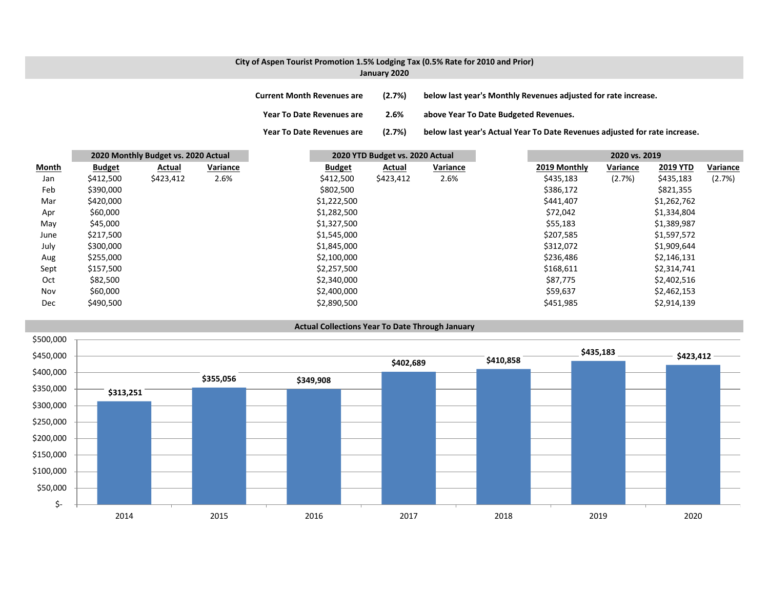#### **City of Aspen Tourist Promotion 1.5% Lodging Tax (0.5% Rate for 2010 and Prior) January 2020**

| Current Month Revenues are       | (2.7%) | below last year's Monthly Revenues adjusted for rate increase.             |
|----------------------------------|--------|----------------------------------------------------------------------------|
| <b>Year To Date Revenues are</b> | 2.6%   | above Year To Date Budgeted Revenues.                                      |
| Year To Date Revenues are        | (2.7%) | below last year's Actual Year To Date Revenues adjusted for rate increase. |

|       |               | 2020 Monthly Budget vs. 2020 Actual |          | 2020 YTD Budget vs. 2020 Actual |           |          | 2020 vs. 2019 |          |                 |          |
|-------|---------------|-------------------------------------|----------|---------------------------------|-----------|----------|---------------|----------|-----------------|----------|
| Month | <b>Budget</b> | Actual                              | Variance | <b>Budget</b>                   | Actual    | Variance | 2019 Monthly  | Variance | <b>2019 YTD</b> | Variance |
| Jan   | \$412,500     | \$423,412                           | 2.6%     | \$412,500                       | \$423,412 | 2.6%     | \$435,183     | (2.7%)   | \$435,183       | (2.7%)   |
| Feb   | \$390,000     |                                     |          | \$802,500                       |           |          | \$386,172     |          | \$821,355       |          |
| Mar   | \$420,000     |                                     |          | \$1,222,500                     |           |          | \$441,407     |          | \$1,262,762     |          |
| Apr   | \$60,000      |                                     |          | \$1,282,500                     |           |          | \$72,042      |          | \$1,334,804     |          |
| May   | \$45,000      |                                     |          | \$1,327,500                     |           |          | \$55,183      |          | \$1,389,987     |          |
| June  | \$217,500     |                                     |          | \$1,545,000                     |           |          | \$207,585     |          | \$1,597,572     |          |
| July  | \$300,000     |                                     |          | \$1,845,000                     |           |          | \$312,072     |          | \$1,909,644     |          |
| Aug   | \$255,000     |                                     |          | \$2,100,000                     |           |          | \$236,486     |          | \$2,146,131     |          |
| Sept  | \$157,500     |                                     |          | \$2,257,500                     |           |          | \$168,611     |          | \$2,314,741     |          |
| Oct   | \$82,500      |                                     |          | \$2,340,000                     |           |          | \$87,775      |          | \$2,402,516     |          |
| Nov   | \$60,000      |                                     |          | \$2,400,000                     |           |          | \$59,637      |          | \$2,462,153     |          |
| Dec   | \$490,500     |                                     |          | \$2,890,500                     |           |          | \$451,985     |          | \$2,914,139     |          |

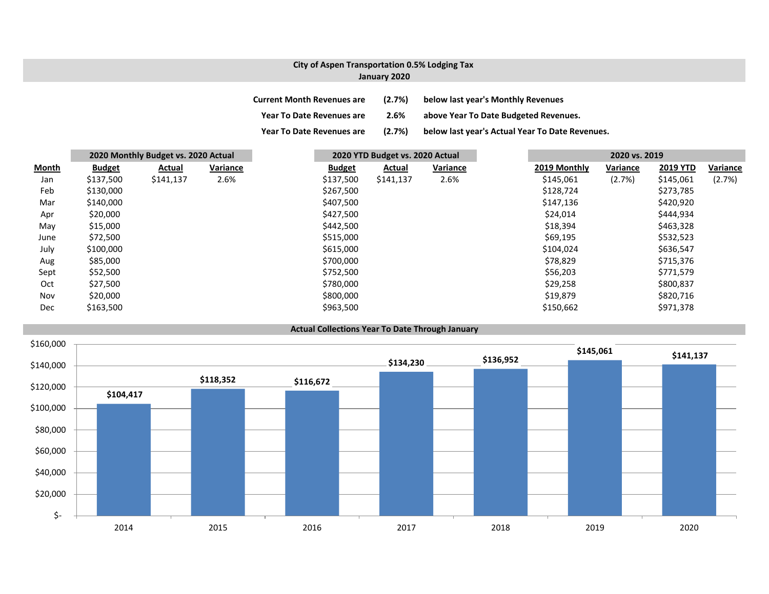### **City of Aspen Transportation 0.5% Lodging Tax January 2020**

| <b>Current Month Revenues are</b> | (2.7%) | below last year's Monthly Revenues              |
|-----------------------------------|--------|-------------------------------------------------|
| <b>Year To Date Revenues are</b>  | 2.6%   | above Year To Date Budgeted Revenues.           |
| <b>Year To Date Revenues are</b>  | (2.7%) | below last year's Actual Year To Date Revenues. |

|              |               | 2020 Monthly Budget vs. 2020 Actual |          |               | 2020 YTD Budget vs. 2020 Actual |          |  | 2020 vs. 2019 |          |                 |          |
|--------------|---------------|-------------------------------------|----------|---------------|---------------------------------|----------|--|---------------|----------|-----------------|----------|
| <u>Month</u> | <b>Budget</b> | Actual                              | Variance | <b>Budget</b> | Actual                          | Variance |  | 2019 Monthly  | Variance | <b>2019 YTD</b> | Variance |
| Jan          | \$137,500     | \$141,137                           | 2.6%     | \$137,500     | \$141,137                       | 2.6%     |  | \$145,061     | (2.7%)   | \$145,061       | (2.7%)   |
| Feb          | \$130,000     |                                     |          | \$267,500     |                                 |          |  | \$128,724     |          | \$273,785       |          |
| Mar          | \$140,000     |                                     |          | \$407,500     |                                 |          |  | \$147,136     |          | \$420,920       |          |
| Apr          | \$20,000      |                                     |          | \$427,500     |                                 |          |  | \$24,014      |          | \$444,934       |          |
| May          | \$15,000      |                                     |          | \$442,500     |                                 |          |  | \$18,394      |          | \$463,328       |          |
| June         | \$72,500      |                                     |          | \$515,000     |                                 |          |  | \$69,195      |          | \$532,523       |          |
| July         | \$100,000     |                                     |          | \$615,000     |                                 |          |  | \$104,024     |          | \$636,547       |          |
| Aug          | \$85,000      |                                     |          | \$700,000     |                                 |          |  | \$78,829      |          | \$715,376       |          |
| Sept         | \$52,500      |                                     |          | \$752,500     |                                 |          |  | \$56,203      |          | \$771,579       |          |
| Oct          | \$27,500      |                                     |          | \$780,000     |                                 |          |  | \$29,258      |          | \$800,837       |          |
| Nov          | \$20,000      |                                     |          | \$800,000     |                                 |          |  | \$19,879      |          | \$820,716       |          |
| Dec          | \$163,500     |                                     |          | \$963,500     |                                 |          |  | \$150,662     |          | \$971,378       |          |



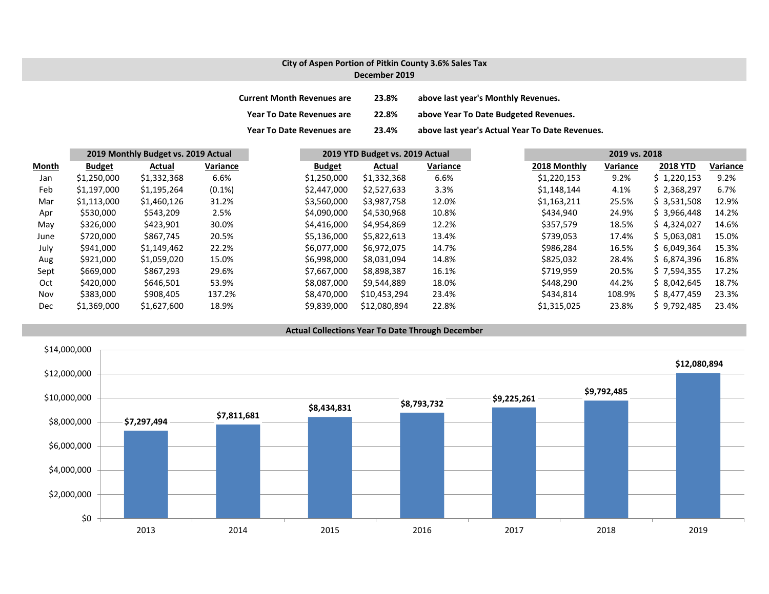#### **City of Aspen Portion of Pitkin County 3.6% Sales Tax December 2019**

| <b>Current Month Revenues are</b> | 23.8% | above last year's Monthly Revenues.             |
|-----------------------------------|-------|-------------------------------------------------|
| <b>Year To Date Revenues are</b>  | 22.8% | above Year To Date Budgeted Revenues.           |
| <b>Year To Date Revenues are</b>  | 23.4% | above last year's Actual Year To Date Revenues. |

|       |               | 2019 Monthly Budget vs. 2019 Actual |           |               | 2019 YTD Budget vs. 2019 Actual |          | 2019 vs. 2018 |          |                 |          |
|-------|---------------|-------------------------------------|-----------|---------------|---------------------------------|----------|---------------|----------|-----------------|----------|
| Month | <b>Budget</b> | Actual                              | Variance  | <b>Budget</b> | Actual                          | Variance | 2018 Monthly  | Variance | <b>2018 YTD</b> | Variance |
| Jan   | \$1,250,000   | \$1,332,368                         | 6.6%      | \$1,250,000   | \$1,332,368                     | 6.6%     | \$1,220,153   | 9.2%     | \$1,220,153     | 9.2%     |
| Feb   | \$1,197,000   | \$1,195,264                         | $(0.1\%)$ | \$2,447,000   | \$2,527,633                     | 3.3%     | \$1,148,144   | 4.1%     | \$2,368,297     | 6.7%     |
| Mar   | \$1,113,000   | \$1,460,126                         | 31.2%     | \$3,560,000   | \$3,987,758                     | 12.0%    | \$1,163,211   | 25.5%    | \$3,531,508     | 12.9%    |
| Apr   | \$530,000     | \$543,209                           | 2.5%      | \$4,090,000   | \$4,530,968                     | 10.8%    | \$434,940     | 24.9%    | \$ 3.966.448    | 14.2%    |
| May   | \$326,000     | \$423,901                           | 30.0%     | \$4,416,000   | \$4,954,869                     | 12.2%    | \$357.579     | 18.5%    | \$4.324.027     | 14.6%    |
| June  | \$720,000     | \$867,745                           | 20.5%     | \$5,136,000   | \$5,822,613                     | 13.4%    | \$739,053     | 17.4%    | \$5.063.081     | 15.0%    |
| July  | \$941,000     | \$1,149,462                         | 22.2%     | \$6,077,000   | \$6,972,075                     | 14.7%    | \$986,284     | 16.5%    | \$6,049,364     | 15.3%    |
| Aug   | \$921,000     | \$1,059,020                         | 15.0%     | \$6,998,000   | \$8.031.094                     | 14.8%    | \$825,032     | 28.4%    | \$6.874.396     | 16.8%    |
| Sept  | \$669,000     | \$867,293                           | 29.6%     | \$7.667.000   | \$8,898,387                     | 16.1%    | \$719,959     | 20.5%    | \$7,594,355     | 17.2%    |
| Oct   | \$420,000     | \$646,501                           | 53.9%     | \$8,087,000   | \$9,544,889                     | 18.0%    | \$448,290     | 44.2%    | \$8.042.645     | 18.7%    |
| Nov   | \$383,000     | \$908,405                           | 137.2%    | \$8,470,000   | \$10,453,294                    | 23.4%    | \$434,814     | 108.9%   | \$ 8.477.459    | 23.3%    |
| Dec   | \$1,369,000   | \$1,627,600                         | 18.9%     | \$9,839,000   | \$12,080,894                    | 22.8%    | \$1,315,025   | 23.8%    | \$9,792,485     | 23.4%    |

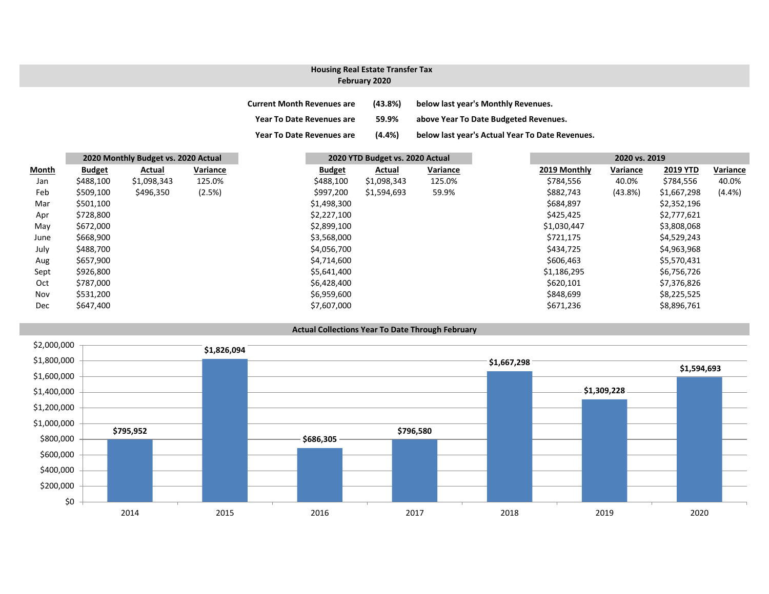# **Housing Real Estate Transfer Tax**

## **February 2020**

| <b>Current Month Revenues are</b> | (43.8%)   | below last year's Monthly Revenues.             |
|-----------------------------------|-----------|-------------------------------------------------|
| <b>Year To Date Revenues are</b>  | 59.9%     | above Year To Date Budgeted Revenues.           |
| <b>Year To Date Revenues are</b>  | $(4.4\%)$ | below last year's Actual Year To Date Revenues. |

|       |               | 2020 Monthly Budget vs. 2020 Actual |          |               | 2020 YTD Budget vs. 2020 Actual |          |  |              | 2020 vs. 2019 |                 |           |  |
|-------|---------------|-------------------------------------|----------|---------------|---------------------------------|----------|--|--------------|---------------|-----------------|-----------|--|
| Month | <b>Budget</b> | Actual                              | Variance | <b>Budget</b> | Actual                          | Variance |  | 2019 Monthly | Variance      | <b>2019 YTD</b> | Variance  |  |
| Jan   | \$488,100     | \$1,098,343                         | 125.0%   | \$488,100     | \$1,098,343                     | 125.0%   |  | \$784,556    | 40.0%         | \$784,556       | 40.0%     |  |
| Feb   | \$509,100     | \$496,350                           | (2.5%)   | \$997,200     | \$1,594,693                     | 59.9%    |  | \$882,743    | $(43.8\%)$    | \$1,667,298     | $(4.4\%)$ |  |
| Mar   | \$501,100     |                                     |          | \$1,498,300   |                                 |          |  | \$684,897    |               | \$2,352,196     |           |  |
| Apr   | \$728,800     |                                     |          | \$2,227,100   |                                 |          |  | \$425,425    |               | \$2,777,621     |           |  |
| May   | \$672,000     |                                     |          | \$2,899,100   |                                 |          |  | \$1,030,447  |               | \$3,808,068     |           |  |
| June  | \$668,900     |                                     |          | \$3,568,000   |                                 |          |  | \$721,175    |               | \$4,529,243     |           |  |
| July  | \$488,700     |                                     |          | \$4,056,700   |                                 |          |  | \$434,725    |               | \$4,963,968     |           |  |
| Aug   | \$657,900     |                                     |          | \$4,714,600   |                                 |          |  | \$606,463    |               | \$5,570,431     |           |  |
| Sept  | \$926,800     |                                     |          | \$5,641,400   |                                 |          |  | \$1,186,295  |               | \$6,756,726     |           |  |
| Oct   | \$787,000     |                                     |          | \$6,428,400   |                                 |          |  | \$620,101    |               | \$7,376,826     |           |  |
| Nov   | \$531,200     |                                     |          | \$6,959,600   |                                 |          |  | \$848,699    |               | \$8,225,525     |           |  |
| Dec   | \$647,400     |                                     |          | \$7,607,000   |                                 |          |  | \$671,236    |               | \$8,896,761     |           |  |
|       |               |                                     |          |               |                                 |          |  |              |               |                 |           |  |

#### **Actual Collections Year To Date Through February**